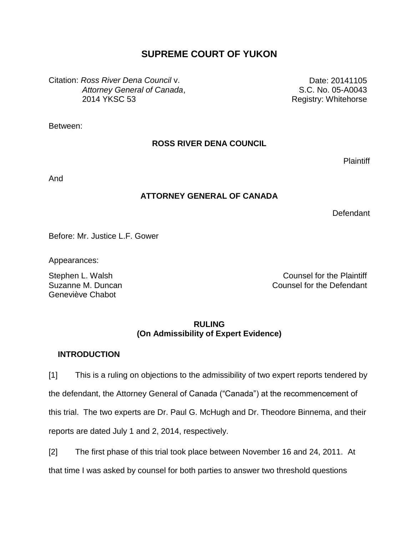# **SUPREME COURT OF YUKON**

Citation: *Ross River Dena Council* v. *Attorney General of Canada*, 2014 YKSC 53

Date: 20141105 S.C. No. 05-A0043 Registry: Whitehorse

Between:

## **ROSS RIVER DENA COUNCIL**

**Plaintiff** 

And

## **ATTORNEY GENERAL OF CANADA**

Defendant

Before: Mr. Justice L.F. Gower

Appearances:

Suzanne M. Duncan Geneviève Chabot

Stephen L. Walsh Counsel for the Plaintiff Counsel for the Defendant

## **RULING (On Admissibility of Expert Evidence)**

## **INTRODUCTION**

[1] This is a ruling on objections to the admissibility of two expert reports tendered by the defendant, the Attorney General of Canada ("Canada") at the recommencement of this trial. The two experts are Dr. Paul G. McHugh and Dr. Theodore Binnema, and their reports are dated July 1 and 2, 2014, respectively.

[2] The first phase of this trial took place between November 16 and 24, 2011. At that time I was asked by counsel for both parties to answer two threshold questions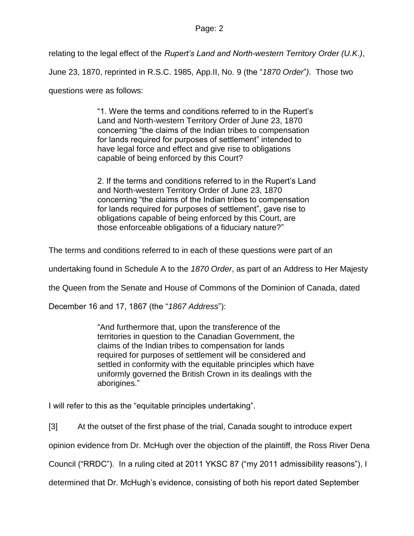relating to the legal effect of the *Rupert's Land and North-western Territory Order (U.K.)*, June 23, 1870, reprinted in R.S.C. 1985, App.II, No. 9 (the "*1870 Order*"*)*. Those two

questions were as follows:

"1. Were the terms and conditions referred to in the Rupert's Land and North-western Territory Order of June 23, 1870 concerning "the claims of the Indian tribes to compensation for lands required for purposes of settlement" intended to have legal force and effect and give rise to obligations capable of being enforced by this Court?

2. If the terms and conditions referred to in the Rupert's Land and North-western Territory Order of June 23, 1870 concerning "the claims of the Indian tribes to compensation for lands required for purposes of settlement", gave rise to obligations capable of being enforced by this Court, are those enforceable obligations of a fiduciary nature?"

The terms and conditions referred to in each of these questions were part of an

undertaking found in Schedule A to the *1870 Order*, as part of an Address to Her Majesty

the Queen from the Senate and House of Commons of the Dominion of Canada, dated

December 16 and 17, 1867 (the "*1867 Address*"):

"And furthermore that, upon the transference of the territories in question to the Canadian Government, the claims of the Indian tribes to compensation for lands required for purposes of settlement will be considered and settled in conformity with the equitable principles which have uniformly governed the British Crown in its dealings with the aborigines."

I will refer to this as the "equitable principles undertaking".

[3] At the outset of the first phase of the trial, Canada sought to introduce expert

opinion evidence from Dr. McHugh over the objection of the plaintiff, the Ross River Dena

Council ("RRDC"). In a ruling cited at 2011 YKSC 87 ("my 2011 admissibility reasons"), I

determined that Dr. McHugh's evidence, consisting of both his report dated September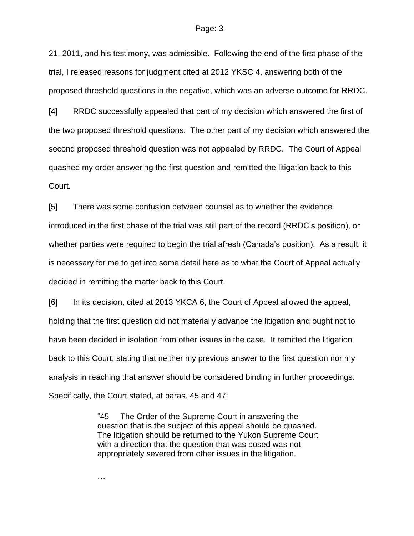21, 2011, and his testimony, was admissible. Following the end of the first phase of the trial, I released reasons for judgment cited at 2012 YKSC 4, answering both of the proposed threshold questions in the negative, which was an adverse outcome for RRDC.

[4] RRDC successfully appealed that part of my decision which answered the first of the two proposed threshold questions. The other part of my decision which answered the second proposed threshold question was not appealed by RRDC. The Court of Appeal quashed my order answering the first question and remitted the litigation back to this Court.

[5] There was some confusion between counsel as to whether the evidence introduced in the first phase of the trial was still part of the record (RRDC's position), or whether parties were required to begin the trial afresh (Canada's position). As a result, it is necessary for me to get into some detail here as to what the Court of Appeal actually decided in remitting the matter back to this Court.

[6] In its decision, cited at 2013 YKCA 6, the Court of Appeal allowed the appeal, holding that the first question did not materially advance the litigation and ought not to have been decided in isolation from other issues in the case. It remitted the litigation back to this Court, stating that neither my previous answer to the first question nor my analysis in reaching that answer should be considered binding in further proceedings. Specifically, the Court stated, at paras. 45 and 47:

> "45 The Order of the Supreme Court in answering the question that is the subject of this appeal should be quashed. The litigation should be returned to the Yukon Supreme Court with a direction that the question that was posed was not appropriately severed from other issues in the litigation.

…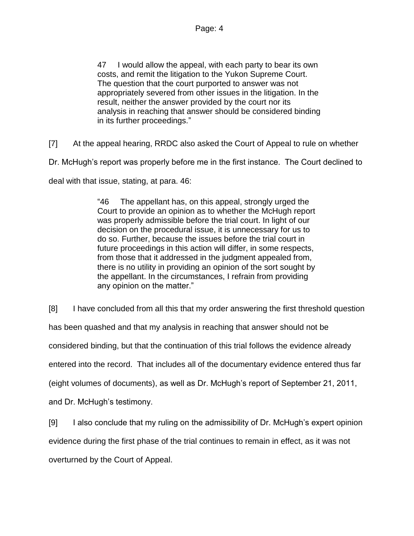47 I would allow the appeal, with each party to bear its own costs, and remit the litigation to the Yukon Supreme Court. The question that the court purported to answer was not appropriately severed from other issues in the litigation. In the result, neither the answer provided by the court nor its analysis in reaching that answer should be considered binding in its further proceedings."

[7] At the appeal hearing, RRDC also asked the Court of Appeal to rule on whether

Dr. McHugh's report was properly before me in the first instance. The Court declined to

deal with that issue, stating, at para. 46:

"46 The appellant has, on this appeal, strongly urged the Court to provide an opinion as to whether the McHugh report was properly admissible before the trial court. In light of our decision on the procedural issue, it is unnecessary for us to do so. Further, because the issues before the trial court in future proceedings in this action will differ, in some respects, from those that it addressed in the judgment appealed from, there is no utility in providing an opinion of the sort sought by the appellant. In the circumstances, I refrain from providing any opinion on the matter."

[8] I have concluded from all this that my order answering the first threshold question

has been quashed and that my analysis in reaching that answer should not be

considered binding, but that the continuation of this trial follows the evidence already

entered into the record. That includes all of the documentary evidence entered thus far

(eight volumes of documents), as well as Dr. McHugh's report of September 21, 2011,

and Dr. McHugh's testimony.

[9] I also conclude that my ruling on the admissibility of Dr. McHugh's expert opinion

evidence during the first phase of the trial continues to remain in effect, as it was not

overturned by the Court of Appeal.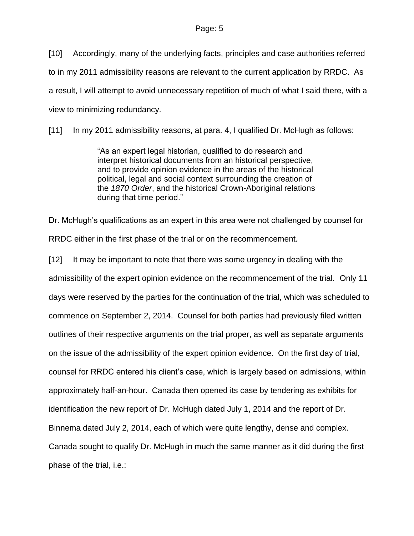[10] Accordingly, many of the underlying facts, principles and case authorities referred to in my 2011 admissibility reasons are relevant to the current application by RRDC. As a result, I will attempt to avoid unnecessary repetition of much of what I said there, with a view to minimizing redundancy.

[11] In my 2011 admissibility reasons, at para. 4, I qualified Dr. McHugh as follows:

"As an expert legal historian, qualified to do research and interpret historical documents from an historical perspective, and to provide opinion evidence in the areas of the historical political, legal and social context surrounding the creation of the *1870 Order*, and the historical Crown-Aboriginal relations during that time period."

Dr. McHugh's qualifications as an expert in this area were not challenged by counsel for RRDC either in the first phase of the trial or on the recommencement.

[12] It may be important to note that there was some urgency in dealing with the admissibility of the expert opinion evidence on the recommencement of the trial. Only 11 days were reserved by the parties for the continuation of the trial, which was scheduled to commence on September 2, 2014. Counsel for both parties had previously filed written outlines of their respective arguments on the trial proper, as well as separate arguments on the issue of the admissibility of the expert opinion evidence. On the first day of trial, counsel for RRDC entered his client's case, which is largely based on admissions, within approximately half-an-hour. Canada then opened its case by tendering as exhibits for identification the new report of Dr. McHugh dated July 1, 2014 and the report of Dr. Binnema dated July 2, 2014, each of which were quite lengthy, dense and complex. Canada sought to qualify Dr. McHugh in much the same manner as it did during the first phase of the trial, i.e.: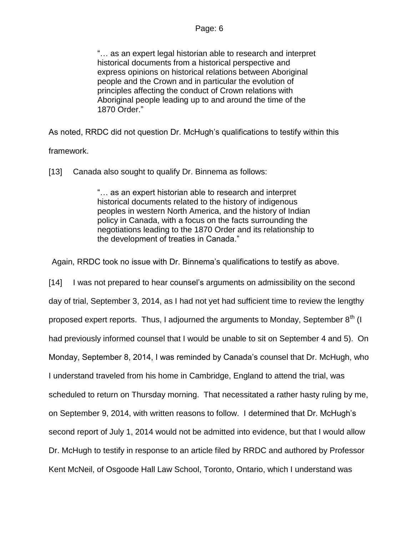"… as an expert legal historian able to research and interpret historical documents from a historical perspective and express opinions on historical relations between Aboriginal people and the Crown and in particular the evolution of principles affecting the conduct of Crown relations with Aboriginal people leading up to and around the time of the 1870 Order."

As noted, RRDC did not question Dr. McHugh's qualifications to testify within this framework.

[13] Canada also sought to qualify Dr. Binnema as follows:

"… as an expert historian able to research and interpret historical documents related to the history of indigenous peoples in western North America, and the history of Indian policy in Canada, with a focus on the facts surrounding the negotiations leading to the 1870 Order and its relationship to the development of treaties in Canada."

Again, RRDC took no issue with Dr. Binnema's qualifications to testify as above.

[14] I was not prepared to hear counsel's arguments on admissibility on the second day of trial, September 3, 2014, as I had not yet had sufficient time to review the lengthy proposed expert reports. Thus, I adjourned the arguments to Monday, September  $8^{th}$  (I had previously informed counsel that I would be unable to sit on September 4 and 5). On Monday, September 8, 2014, I was reminded by Canada's counsel that Dr. McHugh, who I understand traveled from his home in Cambridge, England to attend the trial, was scheduled to return on Thursday morning. That necessitated a rather hasty ruling by me, on September 9, 2014, with written reasons to follow. I determined that Dr. McHugh's second report of July 1, 2014 would not be admitted into evidence, but that I would allow Dr. McHugh to testify in response to an article filed by RRDC and authored by Professor Kent McNeil, of Osgoode Hall Law School, Toronto, Ontario, which I understand was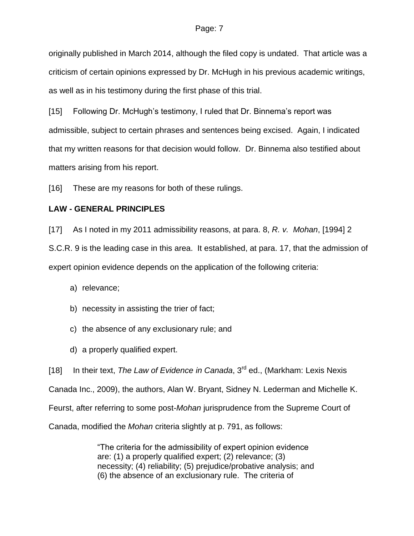originally published in March 2014, although the filed copy is undated. That article was a criticism of certain opinions expressed by Dr. McHugh in his previous academic writings, as well as in his testimony during the first phase of this trial.

[15] Following Dr. McHugh's testimony, I ruled that Dr. Binnema's report was admissible, subject to certain phrases and sentences being excised. Again, I indicated that my written reasons for that decision would follow. Dr. Binnema also testified about matters arising from his report.

[16] These are my reasons for both of these rulings.

### **LAW - GENERAL PRINCIPLES**

[17] As I noted in my 2011 admissibility reasons, at para. 8, *R. v. Mohan*, [1994] 2

S.C.R. 9 is the leading case in this area. It established, at para. 17, that the admission of expert opinion evidence depends on the application of the following criteria:

a) relevance;

- b) necessity in assisting the trier of fact;
- c) the absence of any exclusionary rule; and
- d) a properly qualified expert.

[18] In their text, *The Law of Evidence in Canada*, 3<sup>rd</sup> ed., (Markham: Lexis Nexis Canada Inc., 2009), the authors, Alan W. Bryant, Sidney N. Lederman and Michelle K. Feurst, after referring to some post-*Mohan* jurisprudence from the Supreme Court of Canada, modified the *Mohan* criteria slightly at p. 791, as follows:

> "The criteria for the admissibility of expert opinion evidence are: (1) a properly qualified expert; (2) relevance; (3) necessity; (4) reliability; (5) prejudice/probative analysis; and (6) the absence of an exclusionary rule. The criteria of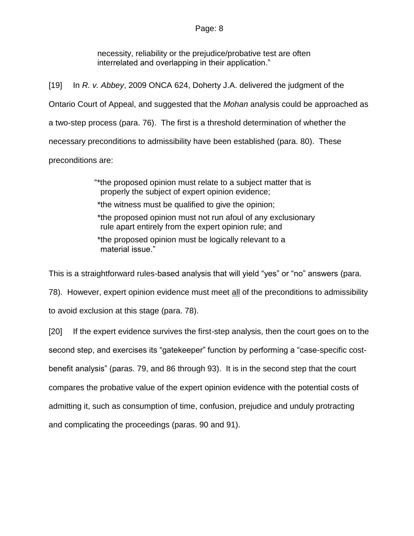necessity, reliability or the prejudice/probative test are often interrelated and overlapping in their application."

[19] In *R. v. Abbey*, 2009 ONCA 624, Doherty J.A. delivered the judgment of the Ontario Court of Appeal, and suggested that the *Mohan* analysis could be approached as a two-step process (para. 76). The first is a threshold determination of whether the necessary preconditions to admissibility have been established (para. 80). These preconditions are:

> "\*the proposed opinion must relate to a subject matter that is properly the subject of expert opinion evidence;

\*the witness must be qualified to give the opinion;

\*the proposed opinion must not run afoul of any exclusionary rule apart entirely from the expert opinion rule; and

\*the proposed opinion must be logically relevant to a material issue."

This is a straightforward rules-based analysis that will yield "yes" or "no" answers (para.

78). However, expert opinion evidence must meet all of the preconditions to admissibility

to avoid exclusion at this stage (para. 78).

[20] If the expert evidence survives the first-step analysis, then the court goes on to the second step, and exercises its "gatekeeper" function by performing a "case-specific costbenefit analysis" (paras. 79, and 86 through 93). It is in the second step that the court compares the probative value of the expert opinion evidence with the potential costs of admitting it, such as consumption of time, confusion, prejudice and unduly protracting and complicating the proceedings (paras. 90 and 91).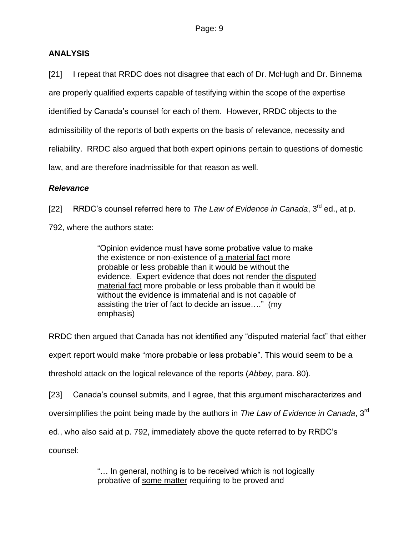## **ANALYSIS**

[21] I repeat that RRDC does not disagree that each of Dr. McHugh and Dr. Binnema are properly qualified experts capable of testifying within the scope of the expertise identified by Canada's counsel for each of them. However, RRDC objects to the admissibility of the reports of both experts on the basis of relevance, necessity and reliability. RRDC also argued that both expert opinions pertain to questions of domestic law, and are therefore inadmissible for that reason as well.

## *Relevance*

[22] RRDC's counsel referred here to The Law of Evidence in Canada, 3<sup>rd</sup> ed., at p.

792, where the authors state:

"Opinion evidence must have some probative value to make the existence or non-existence of a material fact more probable or less probable than it would be without the evidence. Expert evidence that does not render the disputed material fact more probable or less probable than it would be without the evidence is immaterial and is not capable of assisting the trier of fact to decide an issue…." (my emphasis)

RRDC then argued that Canada has not identified any "disputed material fact" that either expert report would make "more probable or less probable". This would seem to be a threshold attack on the logical relevance of the reports (*Abbey*, para. 80).

[23] Canada's counsel submits, and I agree, that this argument mischaracterizes and

oversimplifies the point being made by the authors in *The Law of Evidence in Canada*, 3<sup>rd</sup>

ed., who also said at p. 792, immediately above the quote referred to by RRDC's

counsel:

"… In general, nothing is to be received which is not logically probative of some matter requiring to be proved and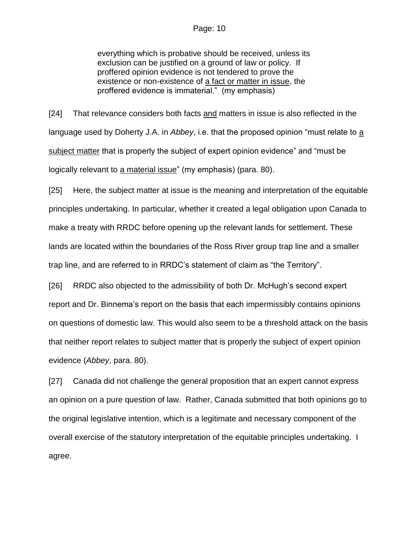everything which is probative should be received, unless its exclusion can be justified on a ground of law or policy. If proffered opinion evidence is not tendered to prove the existence or non-existence of a fact or matter in issue, the proffered evidence is immaterial." (my emphasis)

[24] That relevance considers both facts and matters in issue is also reflected in the language used by Doherty J.A. in *Abbey*, i.e. that the proposed opinion "must relate to a subject matter that is properly the subject of expert opinion evidence" and "must be logically relevant to a material issue" (my emphasis) (para. 80).

[25] Here, the subject matter at issue is the meaning and interpretation of the equitable principles undertaking. In particular, whether it created a legal obligation upon Canada to make a treaty with RRDC before opening up the relevant lands for settlement. These lands are located within the boundaries of the Ross River group trap line and a smaller trap line, and are referred to in RRDC's statement of claim as "the Territory".

[26] RRDC also objected to the admissibility of both Dr. McHugh's second expert report and Dr. Binnema's report on the basis that each impermissibly contains opinions on questions of domestic law. This would also seem to be a threshold attack on the basis that neither report relates to subject matter that is properly the subject of expert opinion evidence (*Abbey*, para. 80).

[27] Canada did not challenge the general proposition that an expert cannot express an opinion on a pure question of law. Rather, Canada submitted that both opinions go to the original legislative intention, which is a legitimate and necessary component of the overall exercise of the statutory interpretation of the equitable principles undertaking. I agree.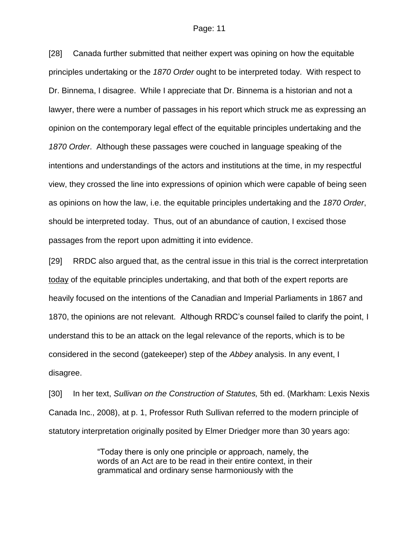[28] Canada further submitted that neither expert was opining on how the equitable principles undertaking or the *1870 Order* ought to be interpreted today. With respect to Dr. Binnema, I disagree. While I appreciate that Dr. Binnema is a historian and not a lawyer, there were a number of passages in his report which struck me as expressing an opinion on the contemporary legal effect of the equitable principles undertaking and the *1870 Order*. Although these passages were couched in language speaking of the intentions and understandings of the actors and institutions at the time, in my respectful view, they crossed the line into expressions of opinion which were capable of being seen as opinions on how the law, i.e. the equitable principles undertaking and the *1870 Order*, should be interpreted today. Thus, out of an abundance of caution, I excised those passages from the report upon admitting it into evidence.

[29] RRDC also argued that, as the central issue in this trial is the correct interpretation today of the equitable principles undertaking, and that both of the expert reports are heavily focused on the intentions of the Canadian and Imperial Parliaments in 1867 and 1870, the opinions are not relevant. Although RRDC's counsel failed to clarify the point, I understand this to be an attack on the legal relevance of the reports, which is to be considered in the second (gatekeeper) step of the *Abbey* analysis. In any event, I disagree.

[30] In her text, *Sullivan on the Construction of Statutes,* 5th ed. (Markham: Lexis Nexis Canada Inc., 2008), at p. 1, Professor Ruth Sullivan referred to the modern principle of statutory interpretation originally posited by Elmer Driedger more than 30 years ago:

> "Today there is only one principle or approach, namely, the words of an Act are to be read in their entire context, in their grammatical and ordinary sense harmoniously with the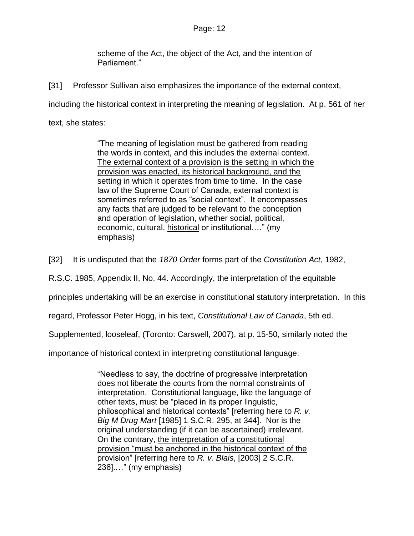scheme of the Act, the object of the Act, and the intention of Parliament."

[31] Professor Sullivan also emphasizes the importance of the external context,

including the historical context in interpreting the meaning of legislation. At p. 561 of her

text, she states:

"The meaning of legislation must be gathered from reading the words in context, and this includes the external context. The external context of a provision is the setting in which the provision was enacted, its historical background, and the setting in which it operates from time to time. In the case law of the Supreme Court of Canada, external context is sometimes referred to as "social context". It encompasses any facts that are judged to be relevant to the conception and operation of legislation, whether social, political, economic, cultural, historical or institutional.…" (my emphasis)

[32] It is undisputed that the *1870 Order* forms part of the *Constitution Act*, 1982,

R.S.C. 1985, Appendix II, No. 44. Accordingly, the interpretation of the equitable

principles undertaking will be an exercise in constitutional statutory interpretation. In this

regard, Professor Peter Hogg, in his text, *Constitutional Law of Canada*, 5th ed.

Supplemented, looseleaf, (Toronto: Carswell, 2007), at p. 15-50, similarly noted the

importance of historical context in interpreting constitutional language:

"Needless to say, the doctrine of progressive interpretation does not liberate the courts from the normal constraints of interpretation. Constitutional language, like the language of other texts, must be "placed in its proper linguistic, philosophical and historical contexts" [referring here to *R. v. Big M Drug Mart* [1985] 1 S.C.R. 295, at 344]. Nor is the original understanding (if it can be ascertained) irrelevant. On the contrary, the interpretation of a constitutional provision "must be anchored in the historical context of the provision" [referring here to *R. v. Blais*, [2003] 2 S.C.R. 236].…" (my emphasis)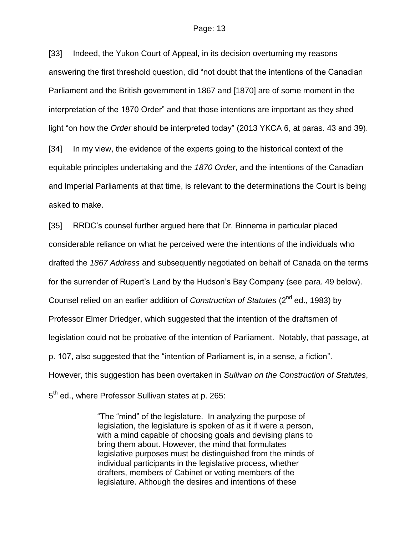[33] Indeed, the Yukon Court of Appeal, in its decision overturning my reasons answering the first threshold question, did "not doubt that the intentions of the Canadian Parliament and the British government in 1867 and [1870] are of some moment in the interpretation of the 1870 Order" and that those intentions are important as they shed light "on how the *Order* should be interpreted today" (2013 YKCA 6, at paras. 43 and 39).

[34] In my view, the evidence of the experts going to the historical context of the equitable principles undertaking and the *1870 Order*, and the intentions of the Canadian and Imperial Parliaments at that time, is relevant to the determinations the Court is being asked to make.

[35] RRDC's counsel further argued here that Dr. Binnema in particular placed considerable reliance on what he perceived were the intentions of the individuals who drafted the *1867 Address* and subsequently negotiated on behalf of Canada on the terms for the surrender of Rupert's Land by the Hudson's Bay Company (see para. 49 below). Counsel relied on an earlier addition of *Construction of Statutes* (2nd ed., 1983) by Professor Elmer Driedger, which suggested that the intention of the draftsmen of legislation could not be probative of the intention of Parliament. Notably, that passage, at p. 107, also suggested that the "intention of Parliament is, in a sense, a fiction". However, this suggestion has been overtaken in *Sullivan on the Construction of Statutes*, 5<sup>th</sup> ed., where Professor Sullivan states at p. 265:

> "The "mind" of the legislature. In analyzing the purpose of legislation, the legislature is spoken of as it if were a person, with a mind capable of choosing goals and devising plans to bring them about. However, the mind that formulates legislative purposes must be distinguished from the minds of individual participants in the legislative process, whether drafters, members of Cabinet or voting members of the legislature. Although the desires and intentions of these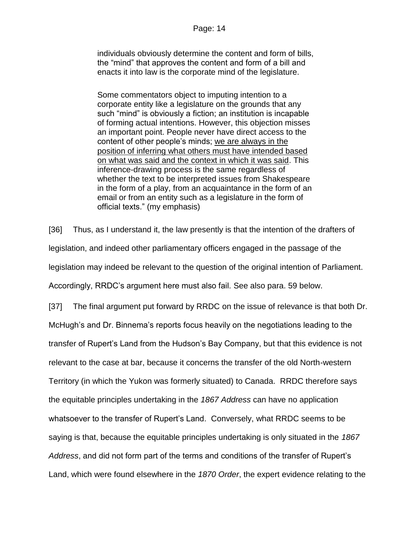individuals obviously determine the content and form of bills, the "mind" that approves the content and form of a bill and enacts it into law is the corporate mind of the legislature.

Some commentators object to imputing intention to a corporate entity like a legislature on the grounds that any such "mind" is obviously a fiction; an institution is incapable of forming actual intentions. However, this objection misses an important point. People never have direct access to the content of other people's minds; we are always in the position of inferring what others must have intended based on what was said and the context in which it was said. This inference-drawing process is the same regardless of whether the text to be interpreted issues from Shakespeare in the form of a play, from an acquaintance in the form of an email or from an entity such as a legislature in the form of official texts." (my emphasis)

[36] Thus, as I understand it, the law presently is that the intention of the drafters of legislation, and indeed other parliamentary officers engaged in the passage of the legislation may indeed be relevant to the question of the original intention of Parliament. Accordingly, RRDC's argument here must also fail. See also para. 59 below.

[37] The final argument put forward by RRDC on the issue of relevance is that both Dr. McHugh's and Dr. Binnema's reports focus heavily on the negotiations leading to the transfer of Rupert's Land from the Hudson's Bay Company, but that this evidence is not relevant to the case at bar, because it concerns the transfer of the old North-western Territory (in which the Yukon was formerly situated) to Canada. RRDC therefore says the equitable principles undertaking in the *1867 Address* can have no application whatsoever to the transfer of Rupert's Land. Conversely, what RRDC seems to be saying is that, because the equitable principles undertaking is only situated in the *1867 Address*, and did not form part of the terms and conditions of the transfer of Rupert's Land, which were found elsewhere in the *1870 Order*, the expert evidence relating to the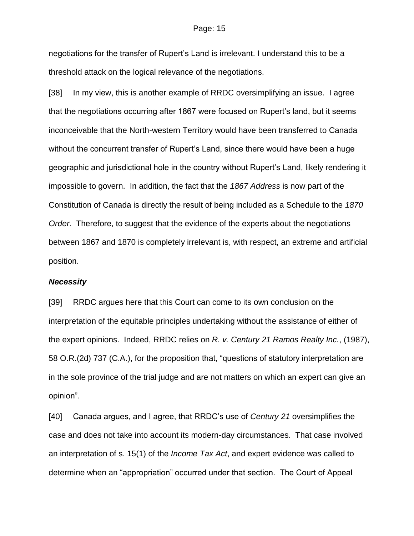negotiations for the transfer of Rupert's Land is irrelevant. I understand this to be a threshold attack on the logical relevance of the negotiations.

[38] In my view, this is another example of RRDC oversimplifying an issue. I agree that the negotiations occurring after 1867 were focused on Rupert's land, but it seems inconceivable that the North-western Territory would have been transferred to Canada without the concurrent transfer of Rupert's Land, since there would have been a huge geographic and jurisdictional hole in the country without Rupert's Land, likely rendering it impossible to govern. In addition, the fact that the *1867 Address* is now part of the Constitution of Canada is directly the result of being included as a Schedule to the *1870 Order*. Therefore, to suggest that the evidence of the experts about the negotiations between 1867 and 1870 is completely irrelevant is, with respect, an extreme and artificial position.

### *Necessity*

[39] RRDC argues here that this Court can come to its own conclusion on the interpretation of the equitable principles undertaking without the assistance of either of the expert opinions. Indeed, RRDC relies on *R. v. Century 21 Ramos Realty Inc.*, (1987), 58 O.R.(2d) 737 (C.A.), for the proposition that, "questions of statutory interpretation are in the sole province of the trial judge and are not matters on which an expert can give an opinion".

[40] Canada argues, and I agree, that RRDC's use of *Century 21* oversimplifies the case and does not take into account its modern-day circumstances. That case involved an interpretation of s. 15(1) of the *Income Tax Act*, and expert evidence was called to determine when an "appropriation" occurred under that section. The Court of Appeal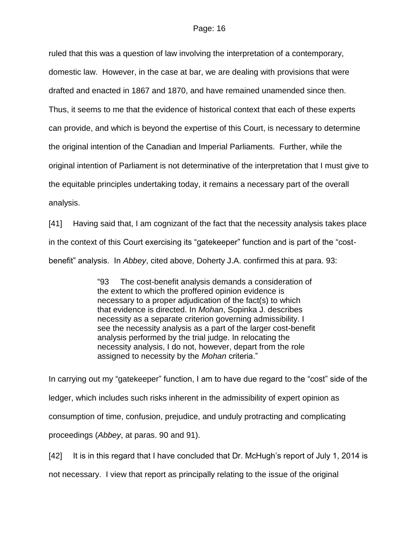ruled that this was a question of law involving the interpretation of a contemporary, domestic law. However, in the case at bar, we are dealing with provisions that were drafted and enacted in 1867 and 1870, and have remained unamended since then. Thus, it seems to me that the evidence of historical context that each of these experts can provide, and which is beyond the expertise of this Court, is necessary to determine the original intention of the Canadian and Imperial Parliaments. Further, while the original intention of Parliament is not determinative of the interpretation that I must give to the equitable principles undertaking today, it remains a necessary part of the overall analysis.

[41] Having said that, I am cognizant of the fact that the necessity analysis takes place in the context of this Court exercising its "gatekeeper" function and is part of the "costbenefit" analysis. In *Abbey*, cited above, Doherty J.A. confirmed this at para. 93:

> "93 The cost-benefit analysis demands a consideration of the extent to which the proffered opinion evidence is necessary to a proper adjudication of the fact(s) to which that evidence is directed. In *Mohan*, Sopinka J. describes necessity as a separate criterion governing admissibility. I see the necessity analysis as a part of the larger cost-benefit analysis performed by the trial judge. In relocating the necessity analysis, I do not, however, depart from the role assigned to necessity by the *Mohan* criteria."

In carrying out my "gatekeeper" function, I am to have due regard to the "cost" side of the ledger, which includes such risks inherent in the admissibility of expert opinion as consumption of time, confusion, prejudice, and unduly protracting and complicating proceedings (*Abbey*, at paras. 90 and 91).

[42] It is in this regard that I have concluded that Dr. McHugh's report of July 1, 2014 is

not necessary. I view that report as principally relating to the issue of the original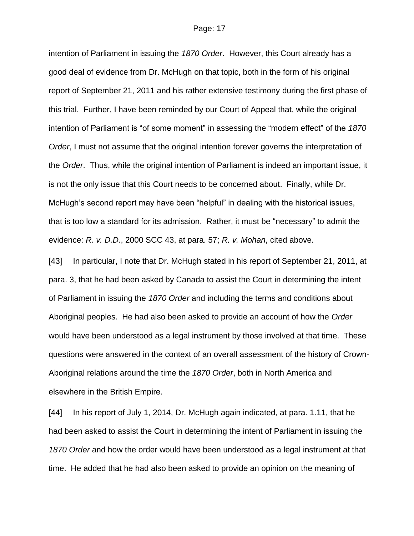intention of Parliament in issuing the *1870 Order*. However, this Court already has a good deal of evidence from Dr. McHugh on that topic, both in the form of his original report of September 21, 2011 and his rather extensive testimony during the first phase of this trial. Further, I have been reminded by our Court of Appeal that, while the original intention of Parliament is "of some moment" in assessing the "modern effect" of the *1870 Order*, I must not assume that the original intention forever governs the interpretation of the *Order*. Thus, while the original intention of Parliament is indeed an important issue, it is not the only issue that this Court needs to be concerned about. Finally, while Dr. McHugh's second report may have been "helpful" in dealing with the historical issues, that is too low a standard for its admission. Rather, it must be "necessary" to admit the evidence: *R. v. D.D.*, 2000 SCC 43, at para. 57; *R. v. Mohan*, cited above.

[43] In particular, I note that Dr. McHugh stated in his report of September 21, 2011, at para. 3, that he had been asked by Canada to assist the Court in determining the intent of Parliament in issuing the *1870 Order* and including the terms and conditions about Aboriginal peoples. He had also been asked to provide an account of how the *Order* would have been understood as a legal instrument by those involved at that time. These questions were answered in the context of an overall assessment of the history of Crown-Aboriginal relations around the time the *1870 Order*, both in North America and elsewhere in the British Empire.

[44] In his report of July 1, 2014, Dr. McHugh again indicated, at para. 1.11, that he had been asked to assist the Court in determining the intent of Parliament in issuing the *1870 Order* and how the order would have been understood as a legal instrument at that time. He added that he had also been asked to provide an opinion on the meaning of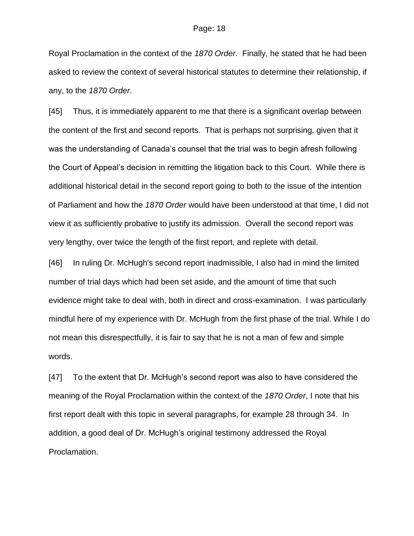Royal Proclamation in the context of the *1870 Order*. Finally, he stated that he had been asked to review the context of several historical statutes to determine their relationship, if any, to the *1870 Order*.

[45] Thus, it is immediately apparent to me that there is a significant overlap between the content of the first and second reports. That is perhaps not surprising, given that it was the understanding of Canada's counsel that the trial was to begin afresh following the Court of Appeal's decision in remitting the litigation back to this Court. While there is additional historical detail in the second report going to both to the issue of the intention of Parliament and how the *1870 Order* would have been understood at that time, I did not view it as sufficiently probative to justify its admission. Overall the second report was very lengthy, over twice the length of the first report, and replete with detail.

[46] In ruling Dr. McHugh's second report inadmissible, I also had in mind the limited number of trial days which had been set aside, and the amount of time that such evidence might take to deal with, both in direct and cross-examination. I was particularly mindful here of my experience with Dr. McHugh from the first phase of the trial. While I do not mean this disrespectfully, it is fair to say that he is not a man of few and simple words.

[47] To the extent that Dr. McHugh's second report was also to have considered the meaning of the Royal Proclamation within the context of the *1870 Order*, I note that his first report dealt with this topic in several paragraphs, for example 28 through 34. In addition, a good deal of Dr. McHugh's original testimony addressed the Royal Proclamation.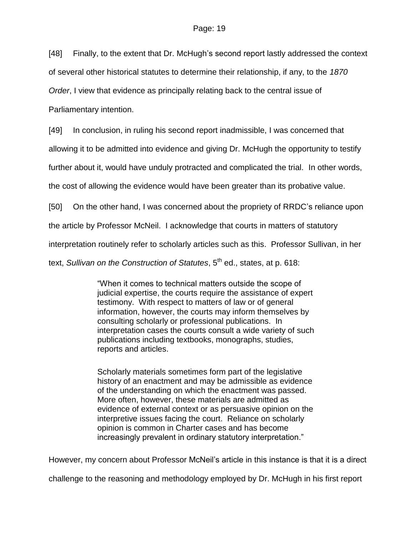[48] Finally, to the extent that Dr. McHugh's second report lastly addressed the context

of several other historical statutes to determine their relationship, if any, to the *1870*

*Order*, I view that evidence as principally relating back to the central issue of

Parliamentary intention.

[49] In conclusion, in ruling his second report inadmissible, I was concerned that

allowing it to be admitted into evidence and giving Dr. McHugh the opportunity to testify

further about it, would have unduly protracted and complicated the trial. In other words,

the cost of allowing the evidence would have been greater than its probative value.

[50] On the other hand, I was concerned about the propriety of RRDC's reliance upon

the article by Professor McNeil. I acknowledge that courts in matters of statutory

interpretation routinely refer to scholarly articles such as this. Professor Sullivan, in her

text, *Sullivan on the Construction of Statutes*, 5<sup>th</sup> ed., states, at p. 618:

"When it comes to technical matters outside the scope of judicial expertise, the courts require the assistance of expert testimony. With respect to matters of law or of general information, however, the courts may inform themselves by consulting scholarly or professional publications. In interpretation cases the courts consult a wide variety of such publications including textbooks, monographs, studies, reports and articles.

Scholarly materials sometimes form part of the legislative history of an enactment and may be admissible as evidence of the understanding on which the enactment was passed. More often, however, these materials are admitted as evidence of external context or as persuasive opinion on the interpretive issues facing the court. Reliance on scholarly opinion is common in Charter cases and has become increasingly prevalent in ordinary statutory interpretation."

However, my concern about Professor McNeil's article in this instance is that it is a direct

challenge to the reasoning and methodology employed by Dr. McHugh in his first report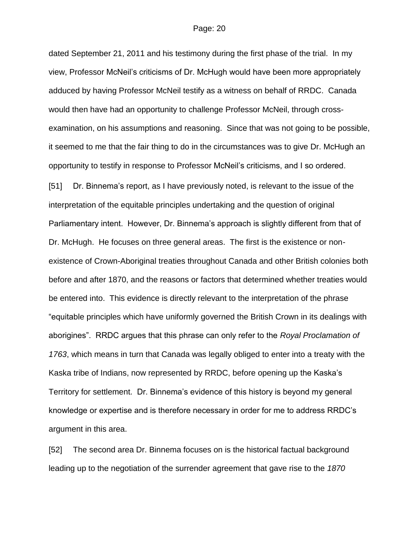dated September 21, 2011 and his testimony during the first phase of the trial. In my view, Professor McNeil's criticisms of Dr. McHugh would have been more appropriately adduced by having Professor McNeil testify as a witness on behalf of RRDC. Canada would then have had an opportunity to challenge Professor McNeil, through crossexamination, on his assumptions and reasoning. Since that was not going to be possible, it seemed to me that the fair thing to do in the circumstances was to give Dr. McHugh an opportunity to testify in response to Professor McNeil's criticisms, and I so ordered.

[51] Dr. Binnema's report, as I have previously noted, is relevant to the issue of the interpretation of the equitable principles undertaking and the question of original Parliamentary intent. However, Dr. Binnema's approach is slightly different from that of Dr. McHugh. He focuses on three general areas. The first is the existence or nonexistence of Crown-Aboriginal treaties throughout Canada and other British colonies both before and after 1870, and the reasons or factors that determined whether treaties would be entered into. This evidence is directly relevant to the interpretation of the phrase "equitable principles which have uniformly governed the British Crown in its dealings with aborigines". RRDC argues that this phrase can only refer to the *Royal Proclamation of 1763*, which means in turn that Canada was legally obliged to enter into a treaty with the Kaska tribe of Indians, now represented by RRDC, before opening up the Kaska's Territory for settlement. Dr. Binnema's evidence of this history is beyond my general knowledge or expertise and is therefore necessary in order for me to address RRDC's argument in this area.

[52] The second area Dr. Binnema focuses on is the historical factual background leading up to the negotiation of the surrender agreement that gave rise to the *1870*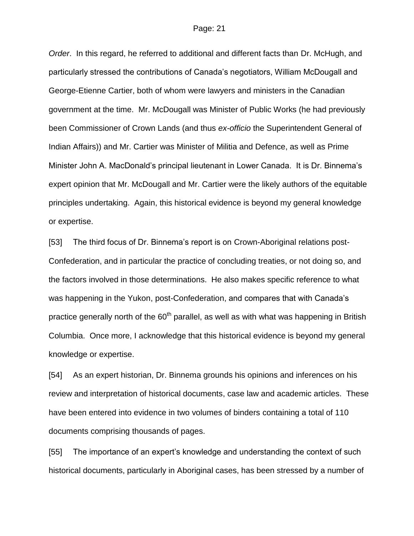*Order*. In this regard, he referred to additional and different facts than Dr. McHugh, and particularly stressed the contributions of Canada's negotiators, William McDougall and George-Etienne Cartier, both of whom were lawyers and ministers in the Canadian government at the time. Mr. McDougall was Minister of Public Works (he had previously been Commissioner of Crown Lands (and thus *ex-officio* the Superintendent General of Indian Affairs)) and Mr. Cartier was Minister of Militia and Defence, as well as Prime Minister John A. MacDonald's principal lieutenant in Lower Canada. It is Dr. Binnema's expert opinion that Mr. McDougall and Mr. Cartier were the likely authors of the equitable principles undertaking. Again, this historical evidence is beyond my general knowledge or expertise.

[53] The third focus of Dr. Binnema's report is on Crown-Aboriginal relations post-Confederation, and in particular the practice of concluding treaties, or not doing so, and the factors involved in those determinations. He also makes specific reference to what was happening in the Yukon, post-Confederation, and compares that with Canada's practice generally north of the  $60<sup>th</sup>$  parallel, as well as with what was happening in British Columbia. Once more, I acknowledge that this historical evidence is beyond my general knowledge or expertise.

[54] As an expert historian, Dr. Binnema grounds his opinions and inferences on his review and interpretation of historical documents, case law and academic articles. These have been entered into evidence in two volumes of binders containing a total of 110 documents comprising thousands of pages.

[55] The importance of an expert's knowledge and understanding the context of such historical documents, particularly in Aboriginal cases, has been stressed by a number of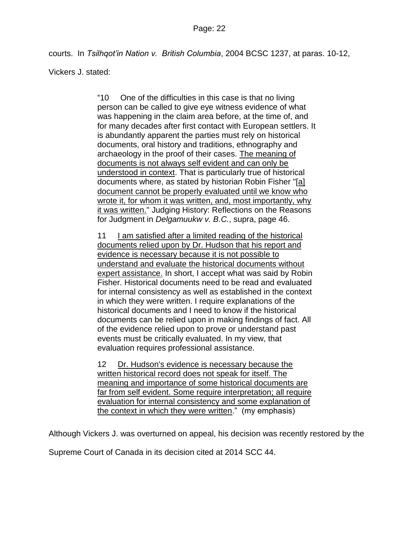courts. In *Tsilhqot'in Nation v. British Columbia*, 2004 BCSC 1237, at paras. 10-12,

Vickers J. stated:

"10 One of the difficulties in this case is that no living person can be called to give eye witness evidence of what was happening in the claim area before, at the time of, and for many decades after first contact with European settlers. It is abundantly apparent the parties must rely on historical documents, oral history and traditions, ethnography and archaeology in the proof of their cases. The meaning of documents is not always self evident and can only be understood in context. That is particularly true of historical documents where, as stated by historian Robin Fisher "[a] document cannot be properly evaluated until we know who wrote it, for whom it was written, and, most importantly, why it was written." Judging History: Reflections on the Reasons for Judgment in *Delgamuukw v. B.C.*, supra, page 46.

11 I am satisfied after a limited reading of the historical documents relied upon by Dr. Hudson that his report and evidence is necessary because it is not possible to understand and evaluate the historical documents without expert assistance. In short, I accept what was said by Robin Fisher. Historical documents need to be read and evaluated for internal consistency as well as established in the context in which they were written. I require explanations of the historical documents and I need to know if the historical documents can be relied upon in making findings of fact. All of the evidence relied upon to prove or understand past events must be critically evaluated. In my view, that evaluation requires professional assistance.

12 Dr. Hudson's evidence is necessary because the written historical record does not speak for itself. The meaning and importance of some historical documents are far from self evident. Some require interpretation; all require evaluation for internal consistency and some explanation of the context in which they were written." (my emphasis)

Although Vickers J. was overturned on appeal, his decision was recently restored by the

Supreme Court of Canada in its decision cited at 2014 SCC 44.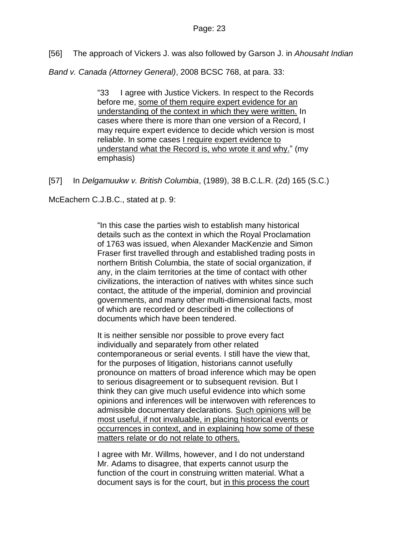[56] The approach of Vickers J. was also followed by Garson J. in *Ahousaht Indian* 

*Band v. Canada (Attorney General)*, 2008 BCSC 768, at para. 33:

"33 I agree with Justice Vickers. In respect to the Records before me, some of them require expert evidence for an understanding of the context in which they were written. In cases where there is more than one version of a Record, I may require expert evidence to decide which version is most reliable. In some cases I require expert evidence to understand what the Record is, who wrote it and why." (my emphasis)

[57] In *Delgamuukw v. British Columbia*, (1989), 38 B.C.L.R. (2d) 165 (S.C.)

McEachern C.J.B.C., stated at p. 9:

"In this case the parties wish to establish many historical details such as the context in which the Royal Proclamation of 1763 was issued, when Alexander MacKenzie and Simon Fraser first travelled through and established trading posts in northern British Columbia, the state of social organization, if any, in the claim territories at the time of contact with other civilizations, the interaction of natives with whites since such contact, the attitude of the imperial, dominion and provincial governments, and many other multi-dimensional facts, most of which are recorded or described in the collections of documents which have been tendered.

It is neither sensible nor possible to prove every fact individually and separately from other related contemporaneous or serial events. I still have the view that, for the purposes of litigation, historians cannot usefully pronounce on matters of broad inference which may be open to serious disagreement or to subsequent revision. But I think they can give much useful evidence into which some opinions and inferences will be interwoven with references to admissible documentary declarations. Such opinions will be most useful, if not invaluable, in placing historical events or occurrences in context, and in explaining how some of these matters relate or do not relate to others.

I agree with Mr. Willms, however, and I do not understand Mr. Adams to disagree, that experts cannot usurp the function of the court in construing written material. What a document says is for the court, but in this process the court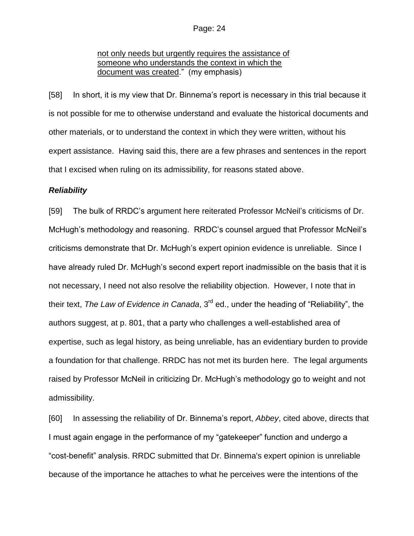## not only needs but urgently requires the assistance of someone who understands the context in which the document was created." (my emphasis)

[58] In short, it is my view that Dr. Binnema's report is necessary in this trial because it is not possible for me to otherwise understand and evaluate the historical documents and other materials, or to understand the context in which they were written, without his expert assistance. Having said this, there are a few phrases and sentences in the report that I excised when ruling on its admissibility, for reasons stated above.

### *Reliability*

[59] The bulk of RRDC's argument here reiterated Professor McNeil's criticisms of Dr. McHugh's methodology and reasoning. RRDC's counsel argued that Professor McNeil's criticisms demonstrate that Dr. McHugh's expert opinion evidence is unreliable. Since I have already ruled Dr. McHugh's second expert report inadmissible on the basis that it is not necessary, I need not also resolve the reliability objection. However, I note that in their text, *The Law of Evidence in Canada*, 3<sup>rd</sup> ed., under the heading of "Reliability", the authors suggest, at p. 801, that a party who challenges a well-established area of expertise, such as legal history, as being unreliable, has an evidentiary burden to provide a foundation for that challenge. RRDC has not met its burden here. The legal arguments raised by Professor McNeil in criticizing Dr. McHugh's methodology go to weight and not admissibility.

[60] In assessing the reliability of Dr. Binnema's report, *Abbey*, cited above, directs that I must again engage in the performance of my "gatekeeper" function and undergo a "cost-benefit" analysis. RRDC submitted that Dr. Binnema's expert opinion is unreliable because of the importance he attaches to what he perceives were the intentions of the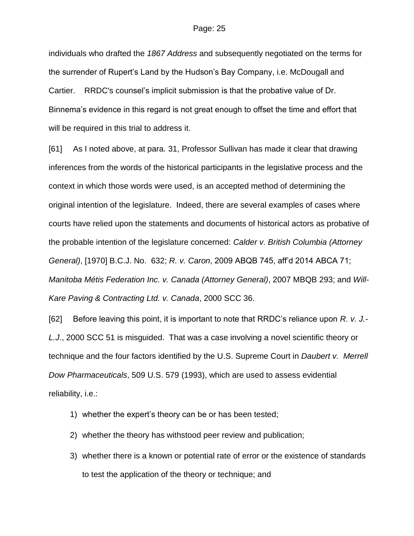individuals who drafted the *1867 Address* and subsequently negotiated on the terms for the surrender of Rupert's Land by the Hudson's Bay Company, i.e. McDougall and Cartier. RRDC's counsel's implicit submission is that the probative value of Dr. Binnema's evidence in this regard is not great enough to offset the time and effort that will be required in this trial to address it.

[61] As I noted above, at para. 31, Professor Sullivan has made it clear that drawing inferences from the words of the historical participants in the legislative process and the context in which those words were used, is an accepted method of determining the original intention of the legislature. Indeed, there are several examples of cases where courts have relied upon the statements and documents of historical actors as probative of the probable intention of the legislature concerned: *Calder v. British Columbia (Attorney General)*, [1970] B.C.J. No. 632; *R. v. Caron*, 2009 ABQB 745, aff'd 2014 ABCA 71; *Manitoba Métis Federation Inc. v. Canada (Attorney General)*, 2007 MBQB 293; and *Will-Kare Paving & Contracting Ltd. v. Canada*, 2000 SCC 36.

[62] Before leaving this point, it is important to note that RRDC's reliance upon *R. v. J.- L.J*., 2000 SCC 51 is misguided. That was a case involving a novel scientific theory or technique and the four factors identified by the U.S. Supreme Court in *Daubert v. Merrell Dow Pharmaceuticals*, 509 U.S. 579 (1993), which are used to assess evidential reliability, i.e.:

- 1) whether the expert's theory can be or has been tested;
- 2) whether the theory has withstood peer review and publication;
- 3) whether there is a known or potential rate of error or the existence of standards to test the application of the theory or technique; and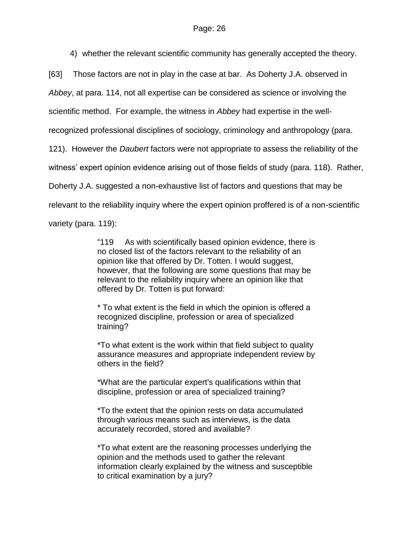4) whether the relevant scientific community has generally accepted the theory.

[63] Those factors are not in play in the case at bar. As Doherty J.A. observed in

*Abbey*, at para. 114, not all expertise can be considered as science or involving the

scientific method. For example, the witness in *Abbey* had expertise in the well-

recognized professional disciplines of sociology, criminology and anthropology (para.

121). However the *Daubert* factors were not appropriate to assess the reliability of the

witness' expert opinion evidence arising out of those fields of study (para. 118). Rather,

Doherty J.A. suggested a non-exhaustive list of factors and questions that may be

relevant to the reliability inquiry where the expert opinion proffered is of a non-scientific

variety (para. 119):

"119 As with scientifically based opinion evidence, there is no closed list of the factors relevant to the reliability of an opinion like that offered by Dr. Totten. I would suggest, however, that the following are some questions that may be relevant to the reliability inquiry where an opinion like that offered by Dr. Totten is put forward:

\* To what extent is the field in which the opinion is offered a recognized discipline, profession or area of specialized training?

\*To what extent is the work within that field subject to quality assurance measures and appropriate independent review by others in the field?

\*What are the particular expert's qualifications within that discipline, profession or area of specialized training?

\*To the extent that the opinion rests on data accumulated through various means such as interviews, is the data accurately recorded, stored and available?

\*To what extent are the reasoning processes underlying the opinion and the methods used to gather the relevant information clearly explained by the witness and susceptible to critical examination by a jury?